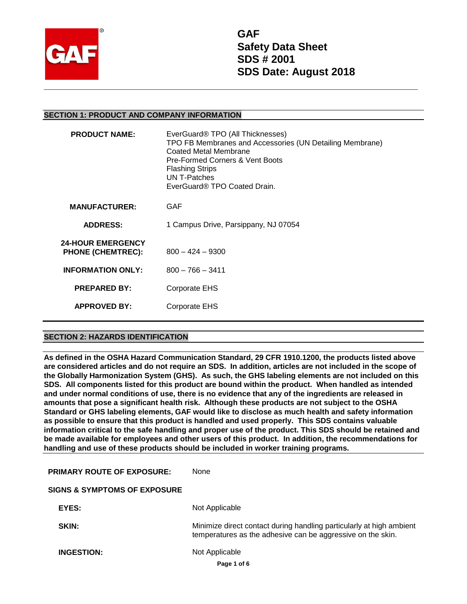

**GAF Safety Data Sheet SDS # 2001 SDS Date: August 2018**

### **SECTION 1: PRODUCT AND COMPANY INFORMATION**

| <b>PRODUCT NAME:</b>                                 | EverGuard <sup>®</sup> TPO (All Thicknesses)<br>TPO FB Membranes and Accessories (UN Detailing Membrane)<br><b>Coated Metal Membrane</b><br>Pre-Formed Corners & Vent Boots<br><b>Flashing Strips</b><br>UN T-Patches<br>EverGuard® TPO Coated Drain. |
|------------------------------------------------------|-------------------------------------------------------------------------------------------------------------------------------------------------------------------------------------------------------------------------------------------------------|
| <b>MANUFACTURER:</b>                                 | GAF                                                                                                                                                                                                                                                   |
| <b>ADDRESS:</b>                                      | 1 Campus Drive, Parsippany, NJ 07054                                                                                                                                                                                                                  |
| <b>24-HOUR EMERGENCY</b><br><b>PHONE (CHEMTREC):</b> | $800 - 424 - 9300$                                                                                                                                                                                                                                    |
| <b>INFORMATION ONLY:</b>                             | $800 - 766 - 3411$                                                                                                                                                                                                                                    |
| <b>PREPARED BY:</b>                                  | <b>Corporate EHS</b>                                                                                                                                                                                                                                  |
| <b>APPROVED BY:</b>                                  | Corporate EHS                                                                                                                                                                                                                                         |
|                                                      |                                                                                                                                                                                                                                                       |

## **SECTION 2: HAZARDS IDENTIFICATION**

**As defined in the OSHA Hazard Communication Standard, 29 CFR 1910.1200, the products listed above are considered articles and do not require an SDS. In addition, articles are not included in the scope of the Globally Harmonization System (GHS). As such, the GHS labeling elements are not included on this SDS. All components listed for this product are bound within the product. When handled as intended and under normal conditions of use, there is no evidence that any of the ingredients are released in amounts that pose a significant health risk. Although these products are not subject to the OSHA Standard or GHS labeling elements, GAF would like to disclose as much health and safety information as possible to ensure that this product is handled and used properly. This SDS contains valuable information critical to the safe handling and proper use of the product. This SDS should be retained and be made available for employees and other users of this product. In addition, the recommendations for handling and use of these products should be included in worker training programs.** 

| <b>PRIMARY ROUTE OF EXPOSURE:</b>       | None                                                                                                                                |
|-----------------------------------------|-------------------------------------------------------------------------------------------------------------------------------------|
| <b>SIGNS &amp; SYMPTOMS OF EXPOSURE</b> |                                                                                                                                     |
| EYES:                                   | Not Applicable                                                                                                                      |
| <b>SKIN:</b>                            | Minimize direct contact during handling particularly at high ambient<br>temperatures as the adhesive can be aggressive on the skin. |
| <b>INGESTION:</b>                       | Not Applicable                                                                                                                      |
|                                         | Page 1 of 6                                                                                                                         |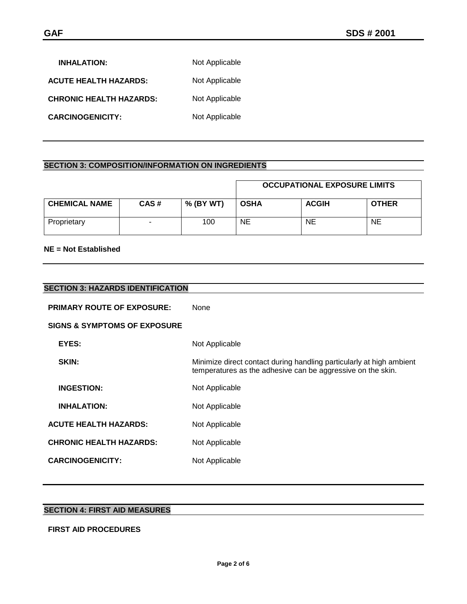| <b>INHALATION:</b>             | Not Applicable |
|--------------------------------|----------------|
| <b>ACUTE HEALTH HAZARDS:</b>   | Not Applicable |
| <b>CHRONIC HEALTH HAZARDS:</b> | Not Applicable |
| <b>CARCINOGENICITY:</b>        | Not Applicable |

# **SECTION 3: COMPOSITION/INFORMATION ON INGREDIENTS**

|                      |      |           |             | <b>OCCUPATIONAL EXPOSURE LIMITS</b> |              |
|----------------------|------|-----------|-------------|-------------------------------------|--------------|
| <b>CHEMICAL NAME</b> | CAS# | % (BY WT) | <b>OSHA</b> | <b>ACGIH</b>                        | <b>OTHER</b> |
| Proprietary          |      | 100       | NE          | NE.                                 | NE.          |

## **NE = Not Established**

| <b>SECTION 3: HAZARDS IDENTIFICATION</b> |                                                                                                                                     |
|------------------------------------------|-------------------------------------------------------------------------------------------------------------------------------------|
| <b>PRIMARY ROUTE OF EXPOSURE:</b>        | <b>None</b>                                                                                                                         |
| <b>SIGNS &amp; SYMPTOMS OF EXPOSURE</b>  |                                                                                                                                     |
| EYES:                                    | Not Applicable                                                                                                                      |
| SKIN:                                    | Minimize direct contact during handling particularly at high ambient<br>temperatures as the adhesive can be aggressive on the skin. |
| <b>INGESTION:</b>                        | Not Applicable                                                                                                                      |
| <b>INHALATION:</b>                       | Not Applicable                                                                                                                      |
| <b>ACUTE HEALTH HAZARDS:</b>             | Not Applicable                                                                                                                      |
| <b>CHRONIC HEALTH HAZARDS:</b>           | Not Applicable                                                                                                                      |
| <b>CARCINOGENICITY:</b>                  | Not Applicable                                                                                                                      |

### **SECTION 4: FIRST AID MEASURES**

### **FIRST AID PROCEDURES**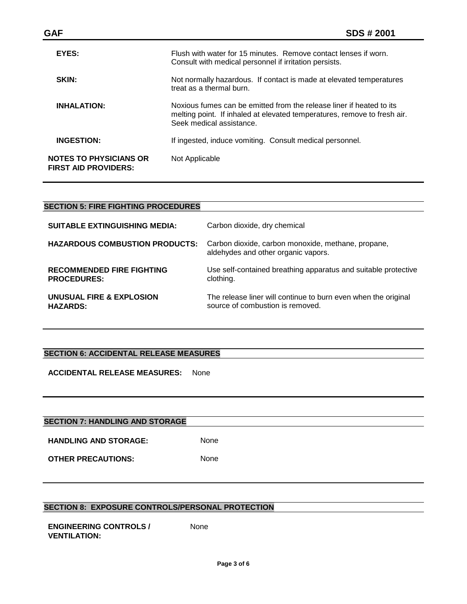| SDS # 2001                                                                                                                                                                   |
|------------------------------------------------------------------------------------------------------------------------------------------------------------------------------|
| Flush with water for 15 minutes. Remove contact lenses if worn.<br>Consult with medical personnel if irritation persists.                                                    |
| Not normally hazardous. If contact is made at elevated temperatures<br>treat as a thermal burn.                                                                              |
| Noxious fumes can be emitted from the release liner if heated to its<br>melting point. If inhaled at elevated temperatures, remove to fresh air.<br>Seek medical assistance. |
| If ingested, induce vomiting. Consult medical personnel.                                                                                                                     |
| Not Applicable                                                                                                                                                               |
|                                                                                                                                                                              |

| <b>SECTION 5: FIRE FIGHTING PROCEDURES</b>             |                                                                                                    |
|--------------------------------------------------------|----------------------------------------------------------------------------------------------------|
| <b>SUITABLE EXTINGUISHING MEDIA:</b>                   | Carbon dioxide, dry chemical                                                                       |
| <b>HAZARDOUS COMBUSTION PRODUCTS:</b>                  | Carbon dioxide, carbon monoxide, methane, propane,<br>aldehydes and other organic vapors.          |
| <b>RECOMMENDED FIRE FIGHTING</b><br><b>PROCEDURES:</b> | Use self-contained breathing apparatus and suitable protective<br>clothing.                        |
| UNUSUAL FIRE & EXPLOSION<br><b>HAZARDS:</b>            | The release liner will continue to burn even when the original<br>source of combustion is removed. |

### **SECTION 6: ACCIDENTAL RELEASE MEASURES**

**ACCIDENTAL RELEASE MEASURES:** None

| <b>SECTION 7: HANDLING AND STORAGE</b> |             |  |
|----------------------------------------|-------------|--|
| <b>HANDLING AND STORAGE:</b>           | <b>None</b> |  |
| <b>OTHER PRECAUTIONS:</b>              | None        |  |

# **SECTION 8: EXPOSURE CONTROLS/PERSONAL PROTECTION**

**ENGINEERING CONTROLS / VENTILATION:**

None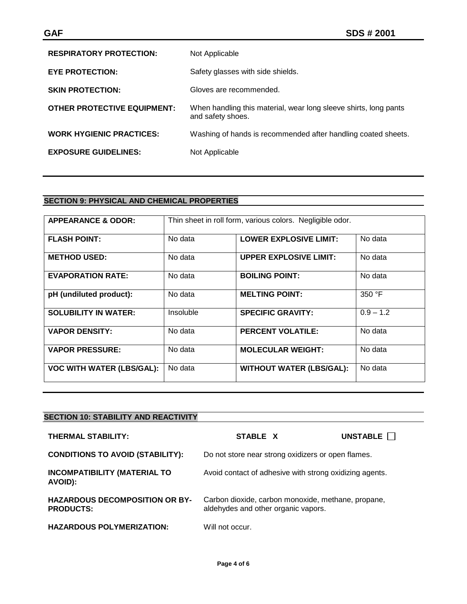| <b>RESPIRATORY PROTECTION:</b>     | Not Applicable                                                                        |
|------------------------------------|---------------------------------------------------------------------------------------|
| <b>EYE PROTECTION:</b>             | Safety glasses with side shields.                                                     |
| <b>SKIN PROTECTION:</b>            | Gloves are recommended.                                                               |
| <b>OTHER PROTECTIVE EQUIPMENT:</b> | When handling this material, wear long sleeve shirts, long pants<br>and safety shoes. |
| <b>WORK HYGIENIC PRACTICES:</b>    | Washing of hands is recommended after handling coated sheets.                         |
| <b>EXPOSURE GUIDELINES:</b>        | Not Applicable                                                                        |

# **SECTION 9: PHYSICAL AND CHEMICAL PROPERTIES**

| <b>APPEARANCE &amp; ODOR:</b>    |           | Thin sheet in roll form, various colors. Negligible odor. |             |
|----------------------------------|-----------|-----------------------------------------------------------|-------------|
| <b>FLASH POINT:</b>              | No data   | <b>LOWER EXPLOSIVE LIMIT:</b>                             | No data     |
| <b>METHOD USED:</b>              | No data   | <b>UPPER EXPLOSIVE LIMIT:</b>                             | No data     |
| <b>EVAPORATION RATE:</b>         | No data   | <b>BOILING POINT:</b>                                     | No data     |
| pH (undiluted product):          | No data   | <b>MELTING POINT:</b>                                     | 350 °F      |
| <b>SOLUBILITY IN WATER:</b>      | Insoluble | <b>SPECIFIC GRAVITY:</b>                                  | $0.9 - 1.2$ |
| <b>VAPOR DENSITY:</b>            | No data   | <b>PERCENT VOLATILE:</b>                                  | No data     |
| <b>VAPOR PRESSURE:</b>           | No data   | <b>MOLECULAR WEIGHT:</b>                                  | No data     |
| <b>VOC WITH WATER (LBS/GAL):</b> | No data   | <b>WITHOUT WATER (LBS/GAL):</b>                           | No data     |

| <b>SECTION 10: STABILITY AND REACTIVITY</b>               |                                                                                           |                   |
|-----------------------------------------------------------|-------------------------------------------------------------------------------------------|-------------------|
| <b>THERMAL STABILITY:</b>                                 | STABLE X                                                                                  | UNSTABLE <b>D</b> |
| <b>CONDITIONS TO AVOID (STABILITY):</b>                   | Do not store near strong oxidizers or open flames.                                        |                   |
| <b>INCOMPATIBILITY (MATERIAL TO</b><br>AVOID):            | Avoid contact of adhesive with strong oxidizing agents.                                   |                   |
| <b>HAZARDOUS DECOMPOSITION OR BY-</b><br><b>PRODUCTS:</b> | Carbon dioxide, carbon monoxide, methane, propane,<br>aldehydes and other organic vapors. |                   |
| <b>HAZARDOUS POLYMERIZATION:</b>                          | Will not occur.                                                                           |                   |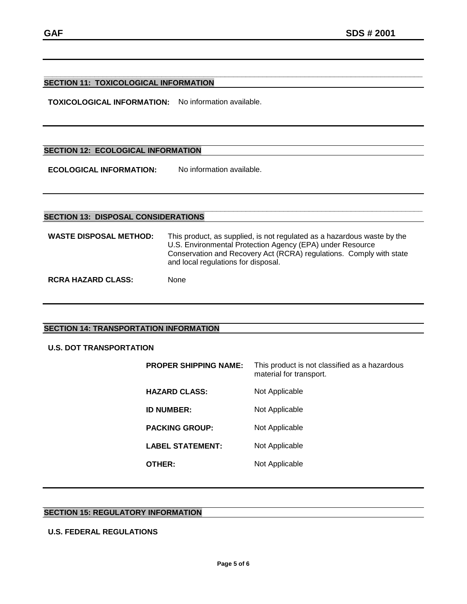#### **\_\_\_\_\_\_\_\_\_\_\_\_\_\_\_\_\_\_\_\_\_\_\_\_\_\_\_\_\_\_\_\_\_\_\_\_\_\_\_\_\_\_\_\_\_\_\_\_\_\_\_\_\_\_\_\_\_\_\_\_\_\_\_\_\_\_\_\_\_\_\_\_\_\_\_\_\_\_\_\_\_\_\_\_\_\_\_\_\_\_ SECTION 11: TOXICOLOGICAL INFORMATION**

**TOXICOLOGICAL INFORMATION:** No information available.

### **SECTION 12: ECOLOGICAL INFORMATION**

**ECOLOGICAL INFORMATION:** No information available.

#### **\_\_\_\_\_\_\_\_\_\_\_\_\_\_\_\_\_\_\_\_\_\_\_\_\_\_\_\_\_\_\_\_\_\_\_\_\_\_\_\_\_\_\_\_\_\_\_\_\_\_\_\_\_\_\_\_\_\_\_\_\_\_\_\_\_\_\_\_\_\_\_\_\_\_\_\_\_\_\_\_\_\_\_\_\_\_\_\_\_\_ SECTION 13: DISPOSAL CONSIDERATIONS**

| <b>WASTE DISPOSAL METHOD:</b> | This product, as supplied, is not regulated as a hazardous waste by the<br>U.S. Environmental Protection Agency (EPA) under Resource<br>Conservation and Recovery Act (RCRA) regulations. Comply with state<br>and local regulations for disposal. |
|-------------------------------|----------------------------------------------------------------------------------------------------------------------------------------------------------------------------------------------------------------------------------------------------|
| <b>RCRA HAZARD CLASS:</b>     | <b>None</b>                                                                                                                                                                                                                                        |

### **SECTION 14: TRANSPORTATION INFORMATION**

### **U.S. DOT TRANSPORTATION**

| <b>PROPER SHIPPING NAME:</b> | This product is not classified as a hazardous<br>material for transport. |
|------------------------------|--------------------------------------------------------------------------|
| <b>HAZARD CLASS:</b>         | Not Applicable                                                           |
| <b>ID NUMBER:</b>            | Not Applicable                                                           |
| <b>PACKING GROUP:</b>        | Not Applicable                                                           |
| <b>LABEL STATEMENT:</b>      | Not Applicable                                                           |
| THER:                        | Not Applicable                                                           |

# **SECTION 15: REGULATORY INFORMATION**

### **U.S. FEDERAL REGULATIONS**